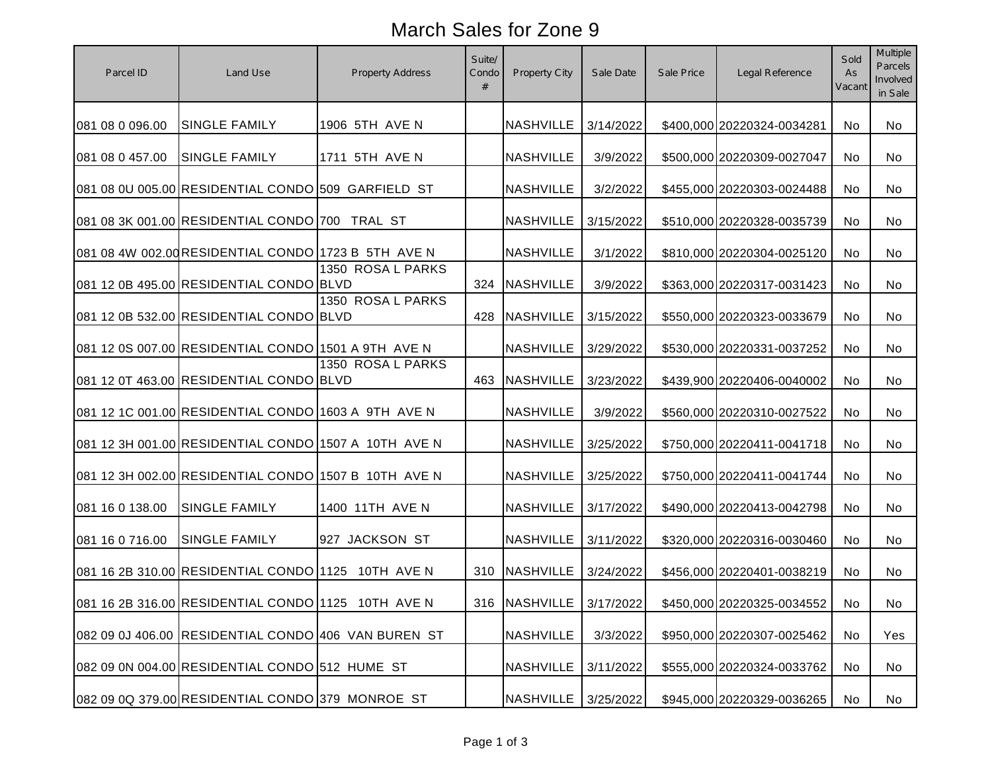## March Sales for Zone 9

| Parcel ID       | Land Use                                             | <b>Property Address</b> | Suite/<br>Condo<br># | Property City               | Sale Date | Sale Price | Legal Reference            | Sold<br>As<br>Vacant | Multiple<br>Parcels<br>Involved<br>in Sale |
|-----------------|------------------------------------------------------|-------------------------|----------------------|-----------------------------|-----------|------------|----------------------------|----------------------|--------------------------------------------|
| 081 08 0 096.00 | <b>SINGLE FAMILY</b>                                 | 1906 5TH AVE N          |                      | <b>NASHVILLE</b>            | 3/14/2022 |            | \$400,000 20220324-0034281 | No                   | No                                         |
| 081 08 0 457.00 | <b>SINGLE FAMILY</b>                                 | 5TH AVE N<br>1711       |                      | <b>NASHVILLE</b>            | 3/9/2022  |            | \$500,000 20220309-0027047 | No                   | No                                         |
|                 | 081 08 0U 005.00 RESIDENTIAL CONDO 509 GARFIELD ST   |                         |                      | <b>NASHVILLE</b>            | 3/2/2022  |            | \$455,000 20220303-0024488 | No                   | No                                         |
|                 | 081 08 3K 001.00 RESIDENTIAL CONDO 700 TRAL ST       |                         |                      | <b>NASHVILLE</b>            | 3/15/2022 |            | \$510,000 20220328-0035739 | No                   | No                                         |
|                 | 081 08 4W 002.00 RESIDENTIAL CONDO 1723 B 5TH AVE N  |                         |                      | <b>NASHVILLE</b>            | 3/1/2022  |            | \$810,000 20220304-0025120 | No                   | No                                         |
|                 | 081 12 0B 495.00 RESIDENTIAL CONDO BLVD              | 1350 ROSA L PARKS       |                      | 324 NASHVILLE               | 3/9/2022  |            | \$363,000 20220317-0031423 | No.                  | No                                         |
|                 | 081 12 0B 532.00 RESIDENTIAL CONDO BLVD              | 1350 ROSA L PARKS       |                      | 428 NASHVILLE               | 3/15/2022 |            | \$550,000 20220323-0033679 | No                   | No                                         |
|                 | 081 12 0S 007.00 RESIDENTIAL CONDO 1501 A 9TH AVE N  |                         |                      | <b>NASHVILLE</b>            | 3/29/2022 |            | \$530,000 20220331-0037252 | No                   | No                                         |
|                 | 081 12 0T 463.00 RESIDENTIAL CONDO BLVD              | 1350 ROSA L PARKS       | 463                  | <b>NASHVILLE</b>            | 3/23/2022 |            | \$439,900 20220406-0040002 | No                   | No                                         |
|                 | 081 12 1C 001.00 RESIDENTIAL CONDO 1603 A 9TH AVE N  |                         |                      | <b>NASHVILLE</b>            | 3/9/2022  |            | \$560,000 20220310-0027522 | No                   | No                                         |
|                 | 081 12 3H 001.00 RESIDENTIAL CONDO 1507 A 10TH AVE N |                         |                      | <b>NASHVILLE</b>            | 3/25/2022 |            | \$750,000 20220411-0041718 | No                   | No                                         |
|                 | 081 12 3H 002.00 RESIDENTIAL CONDO 1507 B 10TH AVE N |                         |                      | <b>NASHVILLE</b>            | 3/25/2022 |            | \$750,000 20220411-0041744 | No                   | No                                         |
| 081 16 0 138.00 | <b>SINGLE FAMILY</b>                                 | 1400 11TH AVE N         |                      | <b>NASHVILLE</b>            | 3/17/2022 |            | \$490,000 20220413-0042798 | No.                  | No                                         |
| 081 16 0 716.00 | <b>SINGLE FAMILY</b>                                 | 927 JACKSON ST          |                      | <b>NASHVILLE</b>            | 3/11/2022 |            | \$320,000 20220316-0030460 | <b>No</b>            | No                                         |
|                 | 081 16 2B 310.00 RESIDENTIAL CONDO 1125 10TH AVE N   |                         |                      | 310   NASHVILLE             | 3/24/2022 |            | \$456,000 20220401-0038219 | <b>No</b>            | No                                         |
|                 | 081 16 2B 316.00 RESIDENTIAL CONDO 1125 10TH AVE N   |                         |                      | 316   NASHVILLE   3/17/2022 |           |            | \$450,000 20220325-0034552 | No                   | No                                         |
|                 | 082 09 0J 406.00 RESIDENTIAL CONDO 406 VAN BUREN ST  |                         |                      | <b>NASHVILLE</b>            | 3/3/2022  |            | \$950,000 20220307-0025462 | No                   | Yes                                        |
|                 | 082 09 0N 004.00 RESIDENTIAL CONDO 512 HUME ST       |                         |                      | <b>NASHVILLE</b>            | 3/11/2022 |            | \$555,000 20220324-0033762 | No                   | No                                         |
|                 | 082 09 0Q 379.00 RESIDENTIAL CONDO 379 MONROE ST     |                         |                      | <b>NASHVILLE</b>            | 3/25/2022 |            | \$945,000 20220329-0036265 | No                   | No                                         |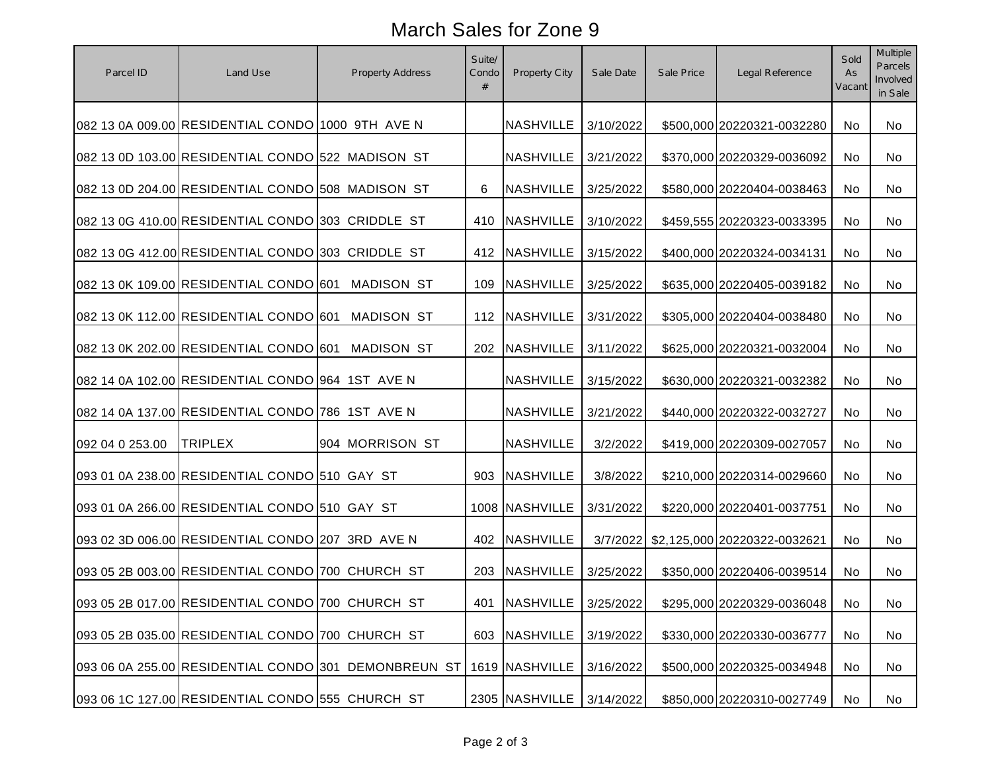## March Sales for Zone 9

| Parcel ID       | Land Use                                          | <b>Property Address</b>                              | Suite/<br>Condo<br># | Property City               | Sale Date | Sale Price | Legal Reference              | Sold<br>As<br>Vacant | Multiple<br>Parcels<br>Involved<br>in Sale |
|-----------------|---------------------------------------------------|------------------------------------------------------|----------------------|-----------------------------|-----------|------------|------------------------------|----------------------|--------------------------------------------|
|                 | 082 13 0A 009.00 RESIDENTIAL CONDO 1000 9TH AVE N |                                                      |                      | <b>NASHVILLE</b>            | 3/10/2022 |            | \$500,000 20220321-0032280   | No                   | No                                         |
|                 | 082 13 0D 103.00 RESIDENTIAL CONDO 522 MADISON ST |                                                      |                      | <b>NASHVILLE</b>            | 3/21/2022 |            | \$370,000 20220329-0036092   | No                   | No                                         |
|                 | 082 13 0D 204.00 RESIDENTIAL CONDO 508 MADISON ST |                                                      | 6                    | <b>NASHVILLE</b>            | 3/25/2022 |            | \$580,000 20220404-0038463   | No                   | No                                         |
|                 | 082 13 0G 410.00 RESIDENTIAL CONDO 303 CRIDDLE ST |                                                      |                      | 410 NASHVILLE               | 3/10/2022 |            | \$459,555 20220323-0033395   | No                   | No                                         |
|                 | 082 13 0G 412.00 RESIDENTIAL CONDO 303 CRIDDLE ST |                                                      |                      | 412 NASHVILLE               | 3/15/2022 |            | \$400,000 20220324-0034131   | No                   | No                                         |
|                 | 082 13 0K 109.00 RESIDENTIAL CONDO 601            | <b>MADISON ST</b>                                    | 109                  | <b>NASHVILLE</b>            | 3/25/2022 |            | \$635,000 20220405-0039182   | No                   | No                                         |
|                 | 082 13 0K 112.00 RESIDENTIAL CONDO 601            | <b>MADISON ST</b>                                    |                      | 112 NASHVILLE               | 3/31/2022 |            | \$305,000 20220404-0038480   | No                   | No                                         |
|                 | 082 13 0K 202.00 RESIDENTIAL CONDO 601            | <b>MADISON ST</b>                                    | 202                  | <b>NASHVILLE</b>            | 3/11/2022 |            | \$625,000 20220321-0032004   | No                   | No                                         |
|                 | 082 14 0A 102.00 RESIDENTIAL CONDO 964 1ST AVE N  |                                                      |                      | <b>NASHVILLE</b>            | 3/15/2022 |            | \$630,000 20220321-0032382   | No                   | No                                         |
|                 | 082 14 0A 137.00 RESIDENTIAL CONDO 786 1ST AVE N  |                                                      |                      | <b>NASHVILLE</b>            | 3/21/2022 |            | \$440,000 20220322-0032727   | No                   | No                                         |
| 092 04 0 253.00 | <b>TRIPLEX</b>                                    | 904 MORRISON ST                                      |                      | <b>NASHVILLE</b>            | 3/2/2022  |            | \$419,000 20220309-0027057   | No                   | No                                         |
|                 |                                                   |                                                      |                      | 903 NASHVILLE               | 3/8/2022  |            | \$210,000 20220314-0029660   | No                   | No                                         |
|                 | 093 01 0A 266.00 RESIDENTIAL CONDO 510 GAY ST     |                                                      |                      | 1008 NASHVILLE              | 3/31/2022 |            | \$220,000 20220401-0037751   | No                   | No                                         |
|                 | 093 02 3D 006.00 RESIDENTIAL CONDO 207 3RD AVE N  |                                                      | 402                  | NASHVILLE                   | 3/7/2022  |            | \$2,125,000 20220322-0032621 | No                   | No                                         |
|                 | 093 05 2B 003.00 RESIDENTIAL CONDO 700 CHURCH ST  |                                                      | 203                  | <b>NASHVILLE</b>            | 3/25/2022 |            | \$350,000 20220406-0039514   | No                   | No                                         |
|                 | 093 05 2B 017.00 RESIDENTIAL CONDO 700 CHURCH ST  |                                                      |                      | 401   NASHVILLE   3/25/2022 |           |            | \$295,000 20220329-0036048   | No                   | No                                         |
|                 | 093 05 2B 035.00 RESIDENTIAL CONDO 700 CHURCH ST  |                                                      | 603                  | <b>NASHVILLE</b>            | 3/19/2022 |            | \$330,000 20220330-0036777   | No                   | No                                         |
|                 |                                                   | 093 06 0A 255.00 RESIDENTIAL CONDO 301 DEMONBREUN ST |                      | 1619 NASHVILLE              | 3/16/2022 |            | \$500,000 20220325-0034948   | No                   | No                                         |
|                 | 093 06 1C 127.00 RESIDENTIAL CONDO 555 CHURCH ST  |                                                      |                      | 2305 NASHVILLE              | 3/14/2022 |            | \$850,000 20220310-0027749   | No                   | No                                         |